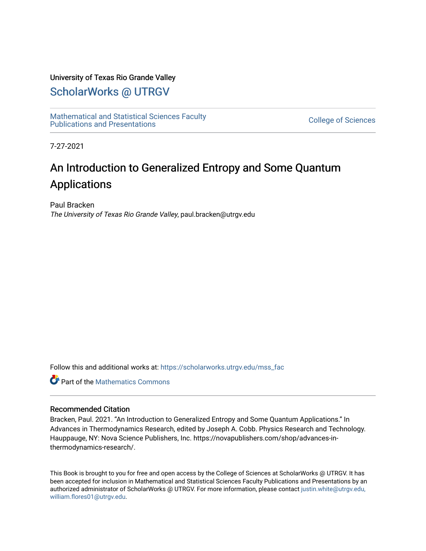#### University of Texas Rio Grande Valley

### [ScholarWorks @ UTRGV](https://scholarworks.utrgv.edu/)

[Mathematical and Statistical Sciences Faculty](https://scholarworks.utrgv.edu/mss_fac)  mathematical and Statistical Sciences Faculty<br>Publications and Presentations

7-27-2021

## An Introduction to Generalized Entropy and Some Quantum Applications

Paul Bracken The University of Texas Rio Grande Valley, paul.bracken@utrgv.edu

Follow this and additional works at: [https://scholarworks.utrgv.edu/mss\\_fac](https://scholarworks.utrgv.edu/mss_fac?utm_source=scholarworks.utrgv.edu%2Fmss_fac%2F199&utm_medium=PDF&utm_campaign=PDFCoverPages) 

**Part of the [Mathematics Commons](http://network.bepress.com/hgg/discipline/174?utm_source=scholarworks.utrgv.edu%2Fmss_fac%2F199&utm_medium=PDF&utm_campaign=PDFCoverPages)** 

#### Recommended Citation

Bracken, Paul. 2021. "An Introduction to Generalized Entropy and Some Quantum Applications." In Advances in Thermodynamics Research, edited by Joseph A. Cobb. Physics Research and Technology. Hauppauge, NY: Nova Science Publishers, Inc. https://novapublishers.com/shop/advances-inthermodynamics-research/.

This Book is brought to you for free and open access by the College of Sciences at ScholarWorks @ UTRGV. It has been accepted for inclusion in Mathematical and Statistical Sciences Faculty Publications and Presentations by an authorized administrator of ScholarWorks @ UTRGV. For more information, please contact [justin.white@utrgv.edu,](mailto:justin.white@utrgv.edu,%20william.flores01@utrgv.edu)  [william.flores01@utrgv.edu](mailto:justin.white@utrgv.edu,%20william.flores01@utrgv.edu).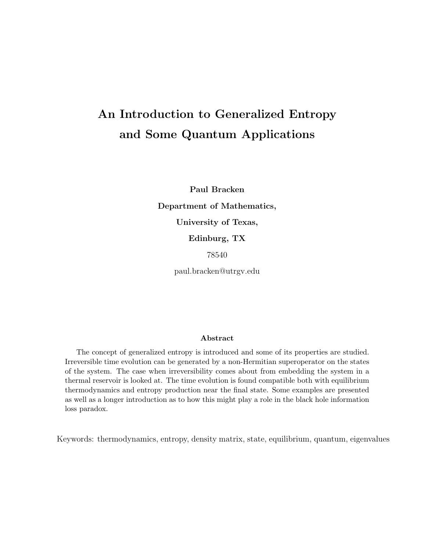# An Introduction to Generalized Entropy and Some Quantum Applications

Paul Bracken Department of Mathematics, University of Texas, Edinburg, TX 78540

paul.bracken@utrgv.edu

#### Abstract

The concept of generalized entropy is introduced and some of its properties are studied. Irreversible time evolution can be generated by a non-Hermitian superoperator on the states of the system. The case when irreversibility comes about from embedding the system in a thermal reservoir is looked at. The time evolution is found compatible both with equilibrium thermodynamics and entropy production near the final state. Some examples are presented as well as a longer introduction as to how this might play a role in the black hole information loss paradox.

Keywords: thermodynamics, entropy, density matrix, state, equilibrium, quantum, eigenvalues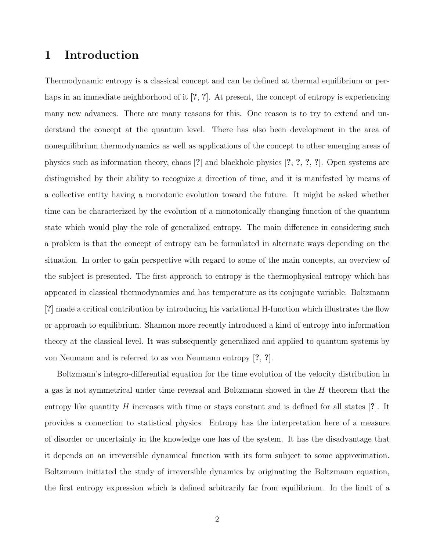### 1 Introduction

Thermodynamic entropy is a classical concept and can be defined at thermal equilibrium or perhaps in an immediate neighborhood of it [?, ?]. At present, the concept of entropy is experiencing many new advances. There are many reasons for this. One reason is to try to extend and understand the concept at the quantum level. There has also been development in the area of nonequilibrium thermodynamics as well as applications of the concept to other emerging areas of physics such as information theory, chaos [?] and blackhole physics [?, ?, ?, ?]. Open systems are distinguished by their ability to recognize a direction of time, and it is manifested by means of a collective entity having a monotonic evolution toward the future. It might be asked whether time can be characterized by the evolution of a monotonically changing function of the quantum state which would play the role of generalized entropy. The main difference in considering such a problem is that the concept of entropy can be formulated in alternate ways depending on the situation. In order to gain perspective with regard to some of the main concepts, an overview of the subject is presented. The first approach to entropy is the thermophysical entropy which has appeared in classical thermodynamics and has temperature as its conjugate variable. Boltzmann [?] made a critical contribution by introducing his variational H-function which illustrates the flow or approach to equilibrium. Shannon more recently introduced a kind of entropy into information theory at the classical level. It was subsequently generalized and applied to quantum systems by von Neumann and is referred to as von Neumann entropy [?, ?].

Boltzmann's integro-differential equation for the time evolution of the velocity distribution in a gas is not symmetrical under time reversal and Boltzmann showed in the H theorem that the entropy like quantity  $H$  increases with time or stays constant and is defined for all states [?]. It provides a connection to statistical physics. Entropy has the interpretation here of a measure of disorder or uncertainty in the knowledge one has of the system. It has the disadvantage that it depends on an irreversible dynamical function with its form subject to some approximation. Boltzmann initiated the study of irreversible dynamics by originating the Boltzmann equation, the first entropy expression which is defined arbitrarily far from equilibrium. In the limit of a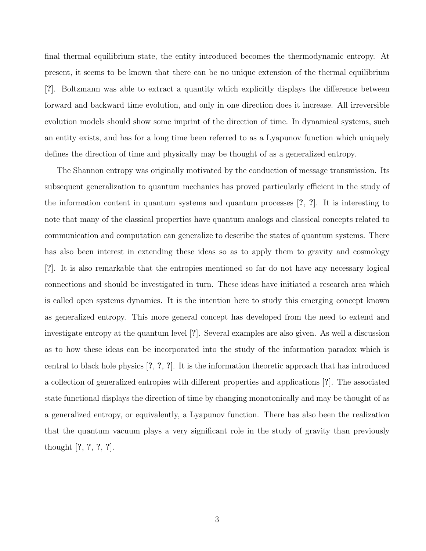final thermal equilibrium state, the entity introduced becomes the thermodynamic entropy. At present, it seems to be known that there can be no unique extension of the thermal equilibrium [?]. Boltzmann was able to extract a quantity which explicitly displays the difference between forward and backward time evolution, and only in one direction does it increase. All irreversible evolution models should show some imprint of the direction of time. In dynamical systems, such an entity exists, and has for a long time been referred to as a Lyapunov function which uniquely defines the direction of time and physically may be thought of as a generalized entropy.

The Shannon entropy was originally motivated by the conduction of message transmission. Its subsequent generalization to quantum mechanics has proved particularly efficient in the study of the information content in quantum systems and quantum processes [?, ?]. It is interesting to note that many of the classical properties have quantum analogs and classical concepts related to communication and computation can generalize to describe the states of quantum systems. There has also been interest in extending these ideas so as to apply them to gravity and cosmology [?]. It is also remarkable that the entropies mentioned so far do not have any necessary logical connections and should be investigated in turn. These ideas have initiated a research area which is called open systems dynamics. It is the intention here to study this emerging concept known as generalized entropy. This more general concept has developed from the need to extend and investigate entropy at the quantum level [?]. Several examples are also given. As well a discussion as to how these ideas can be incorporated into the study of the information paradox which is central to black hole physics [?, ?, ?]. It is the information theoretic approach that has introduced a collection of generalized entropies with different properties and applications [?]. The associated state functional displays the direction of time by changing monotonically and may be thought of as a generalized entropy, or equivalently, a Lyapunov function. There has also been the realization that the quantum vacuum plays a very significant role in the study of gravity than previously thought [?, ?, ?, ?].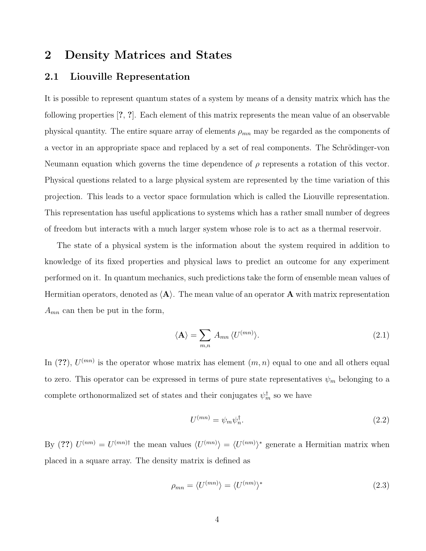### 2 Density Matrices and States

#### 2.1 Liouville Representation

It is possible to represent quantum states of a system by means of a density matrix which has the following properties [?, ?]. Each element of this matrix represents the mean value of an observable physical quantity. The entire square array of elements  $\rho_{mn}$  may be regarded as the components of a vector in an appropriate space and replaced by a set of real components. The Schrödinger-von Neumann equation which governs the time dependence of  $\rho$  represents a rotation of this vector. Physical questions related to a large physical system are represented by the time variation of this projection. This leads to a vector space formulation which is called the Liouville representation. This representation has useful applications to systems which has a rather small number of degrees of freedom but interacts with a much larger system whose role is to act as a thermal reservoir.

The state of a physical system is the information about the system required in addition to knowledge of its fixed properties and physical laws to predict an outcome for any experiment performed on it. In quantum mechanics, such predictions take the form of ensemble mean values of Hermitian operators, denoted as  $\langle A \rangle$ . The mean value of an operator A with matrix representation  $A_{mn}$  can then be put in the form,

$$
\langle \mathbf{A} \rangle = \sum_{m,n} A_{mn} \langle U^{(mn)} \rangle. \tag{2.1}
$$

In (??),  $U^{(mn)}$  is the operator whose matrix has element  $(m, n)$  equal to one and all others equal to zero. This operator can be expressed in terms of pure state representatives  $\psi_m$  belonging to a complete orthonormalized set of states and their conjugates  $\psi_m^{\dagger}$  so we have

$$
U^{(mn)} = \psi_m \psi_n^{\dagger}.
$$
\n
$$
(2.2)
$$

By (??)  $U^{(nm)} = U^{(mn)\dagger}$  the mean values  $\langle U^{(mn)} \rangle = \langle U^{(nm)} \rangle^*$  generate a Hermitian matrix when placed in a square array. The density matrix is defined as

$$
\rho_{mn} = \langle U^{(mn)} \rangle = \langle U^{(nm)} \rangle^* \tag{2.3}
$$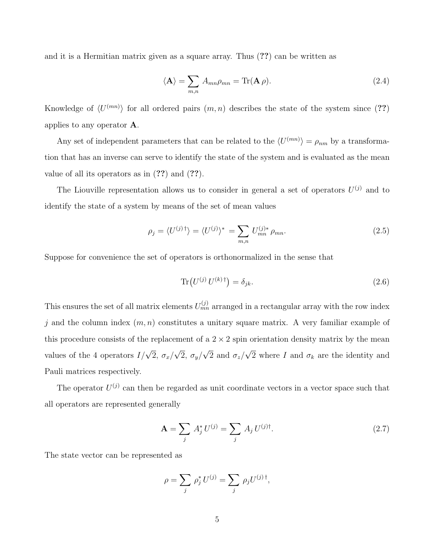and it is a Hermitian matrix given as a square array. Thus (??) can be written as

$$
\langle \mathbf{A} \rangle = \sum_{m,n} A_{mn} \rho_{mn} = \text{Tr}(\mathbf{A} \rho). \tag{2.4}
$$

Knowledge of  $\langle U^{(mn)} \rangle$  for all ordered pairs  $(m, n)$  describes the state of the system since (??) applies to any operator A.

Any set of independent parameters that can be related to the  $\langle U^{(mn)} \rangle = \rho_{nm}$  by a transformation that has an inverse can serve to identify the state of the system and is evaluated as the mean value of all its operators as in (??) and (??).

The Liouville representation allows us to consider in general a set of operators  $U^{(j)}$  and to identify the state of a system by means of the set of mean values

$$
\rho_j = \langle U^{(j)\dagger} \rangle = \langle U^{(j)} \rangle^* = \sum_{m,n} U_{mn}^{(j)*} \rho_{mn}.
$$
\n(2.5)

Suppose for convenience the set of operators is orthonormalized in the sense that

$$
\text{Tr}\left(U^{(j)}\,U^{(k)\,\dagger}\right) = \delta_{jk}.\tag{2.6}
$$

This ensures the set of all matrix elements  $U_{mn}^{(j)}$  arranged in a rectangular array with the row index j and the column index  $(m, n)$  constitutes a unitary square matrix. A very familiar example of this procedure consists of the replacement of a  $2 \times 2$  spin orientation density matrix by the mean values of the 4 operators  $I/\sqrt{2}$ ,  $\sigma_x/$ √  $2, \sigma_y/$ √ 2 and  $\sigma_z/$ √ 2 where I and  $\sigma_k$  are the identity and Pauli matrices respectively.

The operator  $U^{(j)}$  can then be regarded as unit coordinate vectors in a vector space such that all operators are represented generally

$$
\mathbf{A} = \sum_{j} A_{j}^{*} U^{(j)} = \sum_{j} A_{j} U^{(j) \dagger}.
$$
 (2.7)

The state vector can be represented as

$$
\rho = \sum_j \rho_j^* U^{(j)} = \sum_j \rho_j U^{(j)\dagger},
$$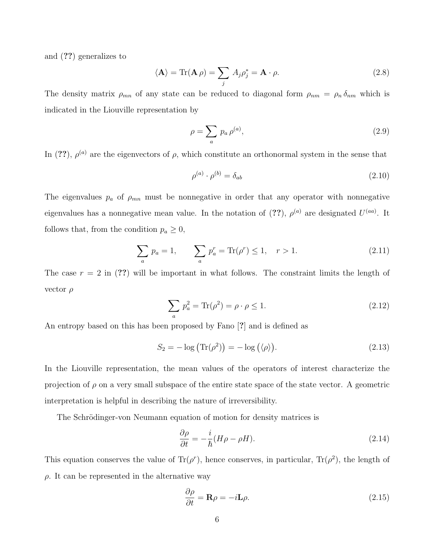and (??) generalizes to

$$
\langle \mathbf{A} \rangle = \text{Tr}(\mathbf{A} \rho) = \sum_{j} A_{j} \rho_{j}^{*} = \mathbf{A} \cdot \rho.
$$
 (2.8)

The density matrix  $\rho_{mn}$  of any state can be reduced to diagonal form  $\rho_{nm} = \rho_n \delta_{nm}$  which is indicated in the Liouville representation by

$$
\rho = \sum_{a} p_a \rho^{(a)},\tag{2.9}
$$

In (??),  $\rho^{(a)}$  are the eigenvectors of  $\rho$ , which constitute an orthonormal system in the sense that

$$
\rho^{(a)} \cdot \rho^{(b)} = \delta_{ab} \tag{2.10}
$$

The eigenvalues  $p_a$  of  $\rho_{mn}$  must be nonnegative in order that any operator with nonnegative eigenvalues has a nonnegative mean value. In the notation of  $(??)$ ,  $\rho^{(a)}$  are designated  $U^{(aa)}$ . It follows that, from the condition  $p_a \geq 0$ ,

$$
\sum_{a} p_a = 1, \qquad \sum_{a} p_a^r = \text{Tr}(\rho^r) \le 1, \quad r > 1. \tag{2.11}
$$

The case  $r = 2$  in (??) will be important in what follows. The constraint limits the length of vector  $\rho$ 

$$
\sum_{a} p_a^2 = \text{Tr}(\rho^2) = \rho \cdot \rho \le 1. \tag{2.12}
$$

An entropy based on this has been proposed by Fano [?] and is defined as

$$
S_2 = -\log\left(\text{Tr}(\rho^2)\right) = -\log\left(\langle \rho \rangle\right). \tag{2.13}
$$

In the Liouville representation, the mean values of the operators of interest characterize the projection of  $\rho$  on a very small subspace of the entire state space of the state vector. A geometric interpretation is helpful in describing the nature of irreversibility.

The Schrödinger-von Neumann equation of motion for density matrices is

$$
\frac{\partial \rho}{\partial t} = -\frac{i}{\hbar} (H\rho - \rho H). \tag{2.14}
$$

This equation conserves the value of  $\text{Tr}(\rho^r)$ , hence conserves, in particular,  $\text{Tr}(\rho^2)$ , the length of  $\rho$ . It can be represented in the alternative way

$$
\frac{\partial \rho}{\partial t} = \mathbf{R}\rho = -i\mathbf{L}\rho. \tag{2.15}
$$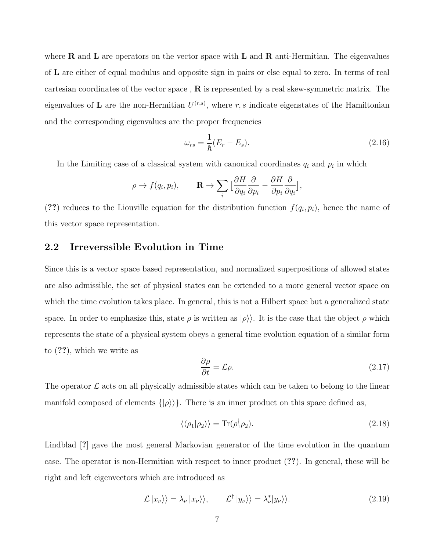where **R** and **L** are operators on the vector space with **L** and **R** anti-Hermitian. The eigenvalues of L are either of equal modulus and opposite sign in pairs or else equal to zero. In terms of real cartesian coordinates of the vector space,  $\bf{R}$  is represented by a real skew-symmetric matrix. The eigenvalues of L are the non-Hermitian  $U^{(r,s)}$ , where r, s indicate eigenstates of the Hamiltonian and the corresponding eigenvalues are the proper frequencies

$$
\omega_{rs} = \frac{1}{\hbar} (E_r - E_s). \tag{2.16}
$$

In the Limiting case of a classical system with canonical coordinates  $q_i$  and  $p_i$  in which

$$
\rho \to f(q_i, p_i), \qquad \mathbf{R} \to \sum_i \big[\frac{\partial H}{\partial q_i} \frac{\partial}{\partial p_i} - \frac{\partial H}{\partial p_i} \frac{\partial}{\partial q_i}\big],
$$

(??) reduces to the Liouville equation for the distribution function  $f(q_i, p_i)$ , hence the name of this vector space representation.

#### 2.2 Irreverssible Evolution in Time

Since this is a vector space based representation, and normalized superpositions of allowed states are also admissible, the set of physical states can be extended to a more general vector space on which the time evolution takes place. In general, this is not a Hilbert space but a generalized state space. In order to emphasize this, state  $\rho$  is written as  $|\rho\rangle$ . It is the case that the object  $\rho$  which represents the state of a physical system obeys a general time evolution equation of a similar form to (??), which we write as

$$
\frac{\partial \rho}{\partial t} = \mathcal{L}\rho. \tag{2.17}
$$

The operator  $\mathcal L$  acts on all physically admissible states which can be taken to belong to the linear manifold composed of elements  $\{|\rho\rangle\rangle\}$ . There is an inner product on this space defined as,

$$
\langle \langle \rho_1 | \rho_2 \rangle \rangle = \text{Tr}(\rho_1^{\dagger} \rho_2). \tag{2.18}
$$

Lindblad [?] gave the most general Markovian generator of the time evolution in the quantum case. The operator is non-Hermitian with respect to inner product (??). In general, these will be right and left eigenvectors which are introduced as

$$
\mathcal{L}|x_{\nu}\rangle\rangle = \lambda_{\nu}|x_{\nu}\rangle\rangle, \qquad \mathcal{L}^{\dagger}|y_{\nu}\rangle\rangle = \lambda_{\nu}^{*}|y_{\nu}\rangle\rangle. \qquad (2.19)
$$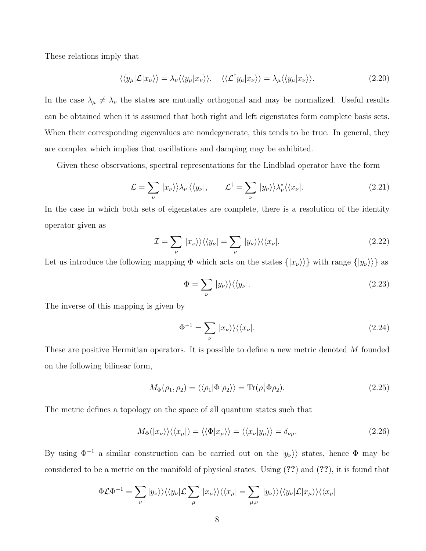These relations imply that

$$
\langle\langle y_{\mu}|\mathcal{L}|x_{\nu}\rangle\rangle = \lambda_{\nu}\langle\langle y_{\mu}|x_{\nu}\rangle\rangle, \quad \langle\langle\mathcal{L}^{\dagger}y_{\mu}|x_{\nu}\rangle\rangle = \lambda_{\mu}\langle\langle y_{\mu}|x_{\nu}\rangle\rangle. \tag{2.20}
$$

In the case  $\lambda_{\mu} \neq \lambda_{\nu}$  the states are mutually orthogonal and may be normalized. Useful results can be obtained when it is assumed that both right and left eigenstates form complete basis sets. When their corresponding eigenvalues are nondegenerate, this tends to be true. In general, they are complex which implies that oscillations and damping may be exhibited.

Given these observations, spectral representations for the Lindblad operator have the form

$$
\mathcal{L} = \sum_{\nu} |x_{\nu}\rangle\rangle\lambda_{\nu}\langle\langle y_{\nu}|, \qquad \mathcal{L}^{\dagger} = \sum_{\nu} |y_{\nu}\rangle\rangle\lambda_{\nu}^{*}\langle\langle x_{\nu}|. \tag{2.21}
$$

In the case in which both sets of eigenstates are complete, there is a resolution of the identity operator given as

$$
\mathcal{I} = \sum_{\nu} |x_{\nu}\rangle\rangle\langle\langle y_{\nu}| = \sum_{\nu} |y_{\nu}\rangle\rangle\langle\langle x_{\nu}|.\tag{2.22}
$$

Let us introduce the following mapping  $\Phi$  which acts on the states  $\{|x_{\nu}\rangle\rangle\}$  with range  $\{|y_{\nu}\rangle\rangle\}$  as

$$
\Phi = \sum_{\nu} |y_{\nu}\rangle\rangle\langle\langle y_{\nu}|. \tag{2.23}
$$

The inverse of this mapping is given by

$$
\Phi^{-1} = \sum_{\nu} |x_{\nu}\rangle\rangle\langle\langle x_{\nu}|. \tag{2.24}
$$

These are positive Hermitian operators. It is possible to define a new metric denoted M founded on the following bilinear form,

$$
M_{\Phi}(\rho_1, \rho_2) = \langle \langle \rho_1 | \Phi | \rho_2 \rangle \rangle = \text{Tr}(\rho_1^{\dagger} \Phi \rho_2). \tag{2.25}
$$

The metric defines a topology on the space of all quantum states such that

$$
M_{\Phi}(|x_{\nu}\rangle\rangle\langle\langle x_{\mu}|)=\langle\langle\Phi|x_{\mu}\rangle\rangle=\langle\langle x_{\nu}|y_{\mu}\rangle\rangle=\delta_{\nu\mu}.
$$
\n(2.26)

By using  $\Phi^{-1}$  a similar construction can be carried out on the  $|y_\nu\rangle$  states, hence  $\Phi$  may be considered to be a metric on the manifold of physical states. Using (??) and (??), it is found that

$$
\Phi \mathcal{L} \Phi^{-1} = \sum_{\nu} |y_{\nu}\rangle\rangle\langle\langle y_{\nu}|\mathcal{L}\sum_{\mu} |x_{\mu}\rangle\rangle\langle\langle x_{\mu}| = \sum_{\mu,\nu} |y_{\nu}\rangle\rangle\langle\langle y_{\nu}|\mathcal{L}|x_{\mu}\rangle\rangle\langle\langle x_{\mu}|
$$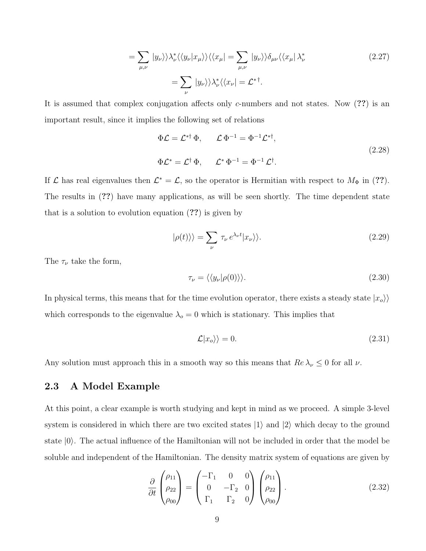$$
= \sum_{\mu,\nu} |y_{\nu}\rangle\rangle \lambda_{\nu}^* \langle \langle y_{\nu} | x_{\mu} \rangle\rangle \langle \langle x_{\mu} | = \sum_{\mu,\nu} | y_{\nu} \rangle\rangle \delta_{\mu\nu} \langle \langle x_{\mu} | \lambda_{\nu}^* \rangle
$$
\n
$$
= \sum_{\nu} | y_{\nu} \rangle\rangle \lambda_{\nu}^* \langle \langle x_{\nu} | = \mathcal{L}^{* \dagger}.
$$
\n(2.27)

It is assumed that complex conjugation affects only c-numbers and not states. Now (??) is an important result, since it implies the following set of relations

$$
\Phi \mathcal{L} = \mathcal{L}^{* \dagger} \Phi, \qquad \mathcal{L} \Phi^{-1} = \Phi^{-1} \mathcal{L}^{* \dagger},
$$
  
\n
$$
\Phi \mathcal{L}^{*} = \mathcal{L}^{\dagger} \Phi, \qquad \mathcal{L}^{*} \Phi^{-1} = \Phi^{-1} \mathcal{L}^{\dagger}.
$$
\n(2.28)

If  $\mathcal L$  has real eigenvalues then  $\mathcal L^* = \mathcal L$ , so the operator is Hermitian with respect to  $M_{\Phi}$  in (??). The results in (??) have many applications, as will be seen shortly. The time dependent state that is a solution to evolution equation (??) is given by

$$
|\rho(t)\rangle\rangle = \sum_{\nu} \tau_{\nu} e^{\lambda_{\nu}t} |x_{\nu}\rangle\rangle. \tag{2.29}
$$

The  $\tau_{\nu}$  take the form,

$$
\tau_{\nu} = \langle \langle y_{\nu} | \rho(0) \rangle \rangle. \tag{2.30}
$$

In physical terms, this means that for the time evolution operator, there exists a steady state  $|x_o\rangle$ which corresponds to the eigenvalue  $\lambda_o = 0$  which is stationary. This implies that

$$
\mathcal{L}|x_o\rangle\rangle = 0.\tag{2.31}
$$

Any solution must approach this in a smooth way so this means that  $Re \lambda_{\nu} \leq 0$  for all  $\nu$ .

#### 2.3 A Model Example

At this point, a clear example is worth studying and kept in mind as we proceed. A simple 3-level system is considered in which there are two excited states  $|1\rangle$  and  $|2\rangle$  which decay to the ground state  $|0\rangle$ . The actual influence of the Hamiltonian will not be included in order that the model be soluble and independent of the Hamiltonian. The density matrix system of equations are given by

$$
\frac{\partial}{\partial t} \begin{pmatrix} \rho_{11} \\ \rho_{22} \\ \rho_{00} \end{pmatrix} = \begin{pmatrix} -\Gamma_1 & 0 & 0 \\ 0 & -\Gamma_2 & 0 \\ \Gamma_1 & \Gamma_2 & 0 \end{pmatrix} \begin{pmatrix} \rho_{11} \\ \rho_{22} \\ \rho_{00} \end{pmatrix} . \tag{2.32}
$$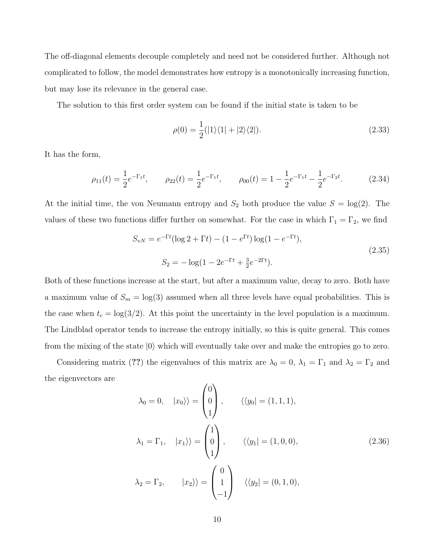The off-diagonal elements decouple completely and need not be considered further. Although not complicated to follow, the model demonstrates how entropy is a monotonically increasing function, but may lose its relevance in the general case.

The solution to this first order system can be found if the initial state is taken to be

$$
\rho(0) = \frac{1}{2}(|1\rangle\langle 1| + |2\rangle\langle 2|). \tag{2.33}
$$

It has the form,

$$
\rho_{11}(t) = \frac{1}{2}e^{-\Gamma_1 t}, \qquad \rho_{22}(t) = \frac{1}{2}e^{-\Gamma_1 t}, \qquad \rho_{00}(t) = 1 - \frac{1}{2}e^{-\Gamma_1 t} - \frac{1}{2}e^{-\Gamma_2 t}.
$$
 (2.34)

At the initial time, the von Neumann entropy and  $S_2$  both produce the value  $S = \log(2)$ . The values of these two functions differ further on somewhat. For the case in which  $\Gamma_1 = \Gamma_2$ , we find

$$
S_{vN} = e^{-\Gamma t} (\log 2 + \Gamma t) - (1 - e^{\Gamma t}) \log(1 - e^{-\Gamma t}),
$$
  
\n
$$
S_2 = -\log(1 - 2e^{-\Gamma t} + \frac{3}{2}e^{-2\Gamma t}).
$$
\n(2.35)

Both of these functions increase at the start, but after a maximum value, decay to zero. Both have a maximum value of  $S_m = \log(3)$  assumed when all three levels have equal probabilities. This is the case when  $t_c = \log(3/2)$ . At this point the uncertainty in the level population is a maximum. The Lindblad operator tends to increase the entropy initially, so this is quite general. This comes from the mixing of the state  $|0\rangle$  which will eventually take over and make the entropies go to zero.

Considering matrix (??) the eigenvalues of this matrix are  $\lambda_0 = 0$ ,  $\lambda_1 = \Gamma_1$  and  $\lambda_2 = \Gamma_2$  and the eigenvectors are

$$
\lambda_0 = 0, \quad |x_0\rangle\rangle = \begin{pmatrix} 0 \\ 0 \\ 1 \end{pmatrix}, \quad \langle \langle y_0 | = (1, 1, 1),
$$
  

$$
\lambda_1 = \Gamma_1, \quad |x_1\rangle\rangle = \begin{pmatrix} 1 \\ 0 \\ 1 \end{pmatrix}, \quad \langle \langle y_1 | = (1, 0, 0),
$$
  

$$
\lambda_2 = \Gamma_2, \quad |x_2\rangle\rangle = \begin{pmatrix} 0 \\ 1 \\ -1 \end{pmatrix} \quad \langle \langle y_2 | = (0, 1, 0),
$$
 (2.36)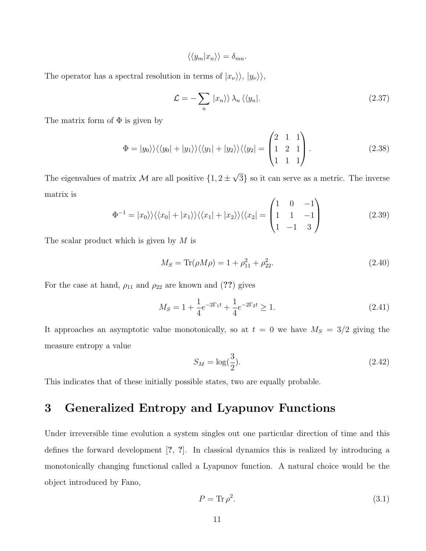$$
\langle \langle y_m | x_n \rangle \rangle = \delta_{mn}.
$$

The operator has a spectral resolution in terms of  $|x_{\nu}\rangle\rangle, |y_{\nu}\rangle\rangle$ ,

$$
\mathcal{L} = -\sum_{n} |x_{n}\rangle\rangle \lambda_{n} \langle\langle y_{n}|. \tag{2.37}
$$

The matrix form of  $\Phi$  is given by

$$
\Phi = |y_0\rangle\rangle\langle\langle y_0| + |y_1\rangle\rangle\langle\langle y_1| + |y_2\rangle\rangle\langle\langle y_2| = \begin{pmatrix} 2 & 1 & 1 \\ 1 & 2 & 1 \\ 1 & 1 & 1 \end{pmatrix} . \tag{2.38}
$$

The eigenvalues of matrix M are all positive  $\{1,2\pm\}$ √ 3} so it can serve as a metric. The inverse matrix is

$$
\Phi^{-1} = |x_0\rangle\rangle\langle\langle x_0| + |x_1\rangle\rangle\langle\langle x_1| + |x_2\rangle\rangle\langle\langle x_2| = \begin{pmatrix} 1 & 0 & -1 \\ 1 & 1 & -1 \\ 1 & -1 & 3 \end{pmatrix}
$$
 (2.39)

The scalar product which is given by  $M$  is

$$
M_S = \text{Tr}(\rho M \rho) = 1 + \rho_{11}^2 + \rho_{22}^2. \tag{2.40}
$$

For the case at hand,  $\rho_{11}$  and  $\rho_{22}$  are known and (??) gives

$$
M_S = 1 + \frac{1}{4}e^{-2\Gamma_1 t} + \frac{1}{4}e^{-2\Gamma_2 t} \ge 1.
$$
\n(2.41)

It approaches an asymptotic value monotonically, so at  $t = 0$  we have  $M<sub>S</sub> = 3/2$  giving the measure entropy a value

$$
S_M = \log(\frac{3}{2}).\tag{2.42}
$$

This indicates that of these initially possible states, two are equally probable.

### 3 Generalized Entropy and Lyapunov Functions

Under irreversible time evolution a system singles out one particular direction of time and this defines the forward development [?, ?]. In classical dynamics this is realized by introducing a monotonically changing functional called a Lyapunov function. A natural choice would be the object introduced by Fano,

$$
P = \text{Tr}\,\rho^2. \tag{3.1}
$$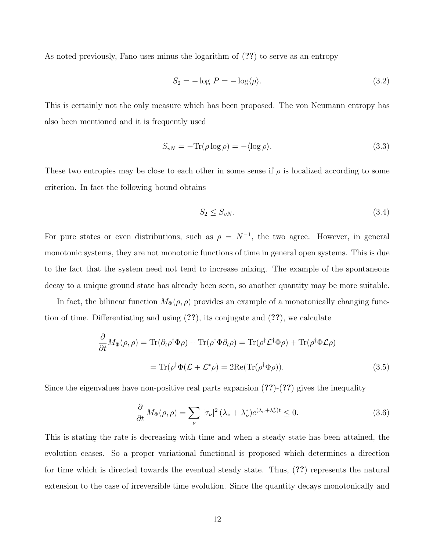As noted previously, Fano uses minus the logarithm of (??) to serve as an entropy

$$
S_2 = -\log P = -\log\langle \rho \rangle. \tag{3.2}
$$

This is certainly not the only measure which has been proposed. The von Neumann entropy has also been mentioned and it is frequently used

$$
S_{vN} = -\text{Tr}(\rho \log \rho) = -\langle \log \rho \rangle. \tag{3.3}
$$

These two entropies may be close to each other in some sense if  $\rho$  is localized according to some criterion. In fact the following bound obtains

$$
S_2 \le S_{vN}.\tag{3.4}
$$

For pure states or even distributions, such as  $\rho = N^{-1}$ , the two agree. However, in general monotonic systems, they are not monotonic functions of time in general open systems. This is due to the fact that the system need not tend to increase mixing. The example of the spontaneous decay to a unique ground state has already been seen, so another quantity may be more suitable.

In fact, the bilinear function  $M_{\Phi}(\rho, \rho)$  provides an example of a monotonically changing function of time. Differentiating and using (??), its conjugate and (??), we calculate

$$
\frac{\partial}{\partial t} M_{\Phi}(\rho, \rho) = \text{Tr}(\partial_t \rho^{\dagger} \Phi \rho) + \text{Tr}(\rho^{\dagger} \Phi \partial_t \rho) = \text{Tr}(\rho^{\dagger} \mathcal{L}^{\dagger} \Phi \rho) + \text{Tr}(\rho^{\dagger} \Phi \mathcal{L} \rho)
$$

$$
= \text{Tr}(\rho^{\dagger} \Phi (\mathcal{L} + \mathcal{L}^* \rho) = 2 \text{Re}(\text{Tr}(\rho^{\dagger} \Phi \rho)). \tag{3.5}
$$

Since the eigenvalues have non-positive real parts expansion  $(??)-(??)$  gives the inequality

$$
\frac{\partial}{\partial t} M_{\Phi}(\rho,\rho) = \sum_{\nu} |\tau_{\nu}|^2 (\lambda_{\nu} + \lambda_{\nu}^*) e^{(\lambda_{\nu} + \lambda_{\nu}^*)t} \le 0.
$$
\n(3.6)

This is stating the rate is decreasing with time and when a steady state has been attained, the evolution ceases. So a proper variational functional is proposed which determines a direction for time which is directed towards the eventual steady state. Thus, (??) represents the natural extension to the case of irreversible time evolution. Since the quantity decays monotonically and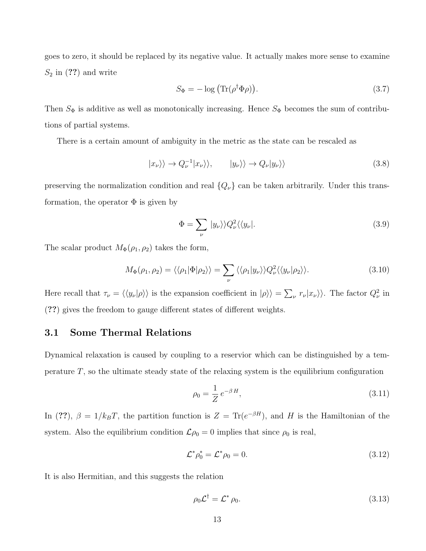goes to zero, it should be replaced by its negative value. It actually makes more sense to examine  $S_2$  in  $(??)$  and write

$$
S_{\Phi} = -\log\left(\text{Tr}(\rho^{\dagger}\Phi\rho)\right). \tag{3.7}
$$

Then  $S_{\Phi}$  is additive as well as monotonically increasing. Hence  $S_{\Phi}$  becomes the sum of contributions of partial systems.

There is a certain amount of ambiguity in the metric as the state can be rescaled as

$$
|x_{\nu}\rangle\rangle \to Q_{\nu}^{-1}|x_{\nu}\rangle\rangle, \qquad |y_{\nu}\rangle\rangle \to Q_{\nu}|y_{\nu}\rangle\rangle \tag{3.8}
$$

preserving the normalization condition and real  ${Q_\nu}$  can be taken arbitrarily. Under this transformation, the operator  $\Phi$  is given by

$$
\Phi = \sum_{\nu} |y_{\nu}\rangle \rangle Q_{\nu}^{2} \langle \langle y_{\nu} |.
$$
\n(3.9)

The scalar product  $M_{\Phi}(\rho_1, \rho_2)$  takes the form,

$$
M_{\Phi}(\rho_1, \rho_2) = \langle \langle \rho_1 | \Phi | \rho_2 \rangle \rangle = \sum_{\nu} \langle \langle \rho_1 | y_{\nu} \rangle \rangle Q_{\nu}^2 \langle \langle y_{\nu} | \rho_2 \rangle \rangle. \tag{3.10}
$$

Here recall that  $\tau_{\nu} = \langle \langle y_{\nu} | \rho \rangle \rangle$  is the expansion coefficient in  $|\rho \rangle \rangle = \sum_{\nu} r_{\nu} |x_{\nu} \rangle$ . The factor  $Q_{\nu}^2$  in (??) gives the freedom to gauge different states of different weights.

#### 3.1 Some Thermal Relations

Dynamical relaxation is caused by coupling to a reservior which can be distinguished by a temperature  $T$ , so the ultimate steady state of the relaxing system is the equilibrium configuration

$$
\rho_0 = \frac{1}{Z} e^{-\beta H},\tag{3.11}
$$

In (??),  $\beta = 1/k_B T$ , the partition function is  $Z = Tr(e^{-\beta H})$ , and H is the Hamiltonian of the system. Also the equilibrium condition  $\mathcal{L}\rho_0 = 0$  implies that since  $\rho_0$  is real,

$$
\mathcal{L}^* \rho_0^* = \mathcal{L}^* \rho_0 = 0. \tag{3.12}
$$

It is also Hermitian, and this suggests the relation

$$
\rho_0 \mathcal{L}^\dagger = \mathcal{L}^* \, \rho_0. \tag{3.13}
$$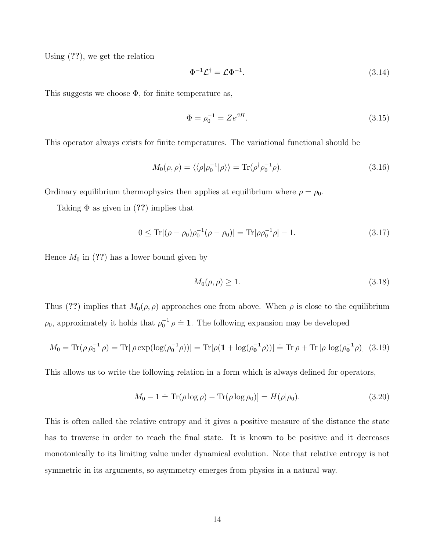Using (??), we get the relation

$$
\Phi^{-1}\mathcal{L}^{\dagger} = \mathcal{L}\Phi^{-1}.\tag{3.14}
$$

This suggests we choose  $\Phi$ , for finite temperature as,

$$
\Phi = \rho_0^{-1} = Ze^{\beta H}.\tag{3.15}
$$

This operator always exists for finite temperatures. The variational functional should be

$$
M_0(\rho,\rho) = \langle \langle \rho | \rho_0^{-1} | \rho \rangle \rangle = \text{Tr}(\rho^{\dagger} \rho_0^{-1} \rho). \tag{3.16}
$$

Ordinary equilibrium thermophysics then applies at equilibrium where  $\rho = \rho_0$ .

Taking  $\Phi$  as given in (??) implies that

$$
0 \le \text{Tr}[(\rho - \rho_0)\rho_0^{-1}(\rho - \rho_0)] = \text{Tr}[\rho \rho_0^{-1}\rho] - 1. \tag{3.17}
$$

Hence  $M_0$  in (??) has a lower bound given by

$$
M_0(\rho, \rho) \ge 1. \tag{3.18}
$$

Thus (??) implies that  $M_0(\rho, \rho)$  approaches one from above. When  $\rho$  is close to the equilibrium  $\rho_0$ , approximately it holds that  $\rho_0^{-1} \rho \doteq 1$ . The following expansion may be developed

$$
M_0 = \text{Tr}(\rho \rho_0^{-1} \rho) = \text{Tr}[\rho \exp(\log(\rho_0^{-1} \rho))] = \text{Tr}[\rho (1 + \log(\rho_0^{-1} \rho))] = \text{Tr} \rho + \text{Tr}[\rho \log(\rho_0^{-1} \rho)] \tag{3.19}
$$

This allows us to write the following relation in a form which is always defined for operators,

$$
M_0 - 1 \doteq \text{Tr}(\rho \log \rho) - \text{Tr}(\rho \log \rho_0)] = H(\rho | \rho_0). \tag{3.20}
$$

This is often called the relative entropy and it gives a positive measure of the distance the state has to traverse in order to reach the final state. It is known to be positive and it decreases monotonically to its limiting value under dynamical evolution. Note that relative entropy is not symmetric in its arguments, so asymmetry emerges from physics in a natural way.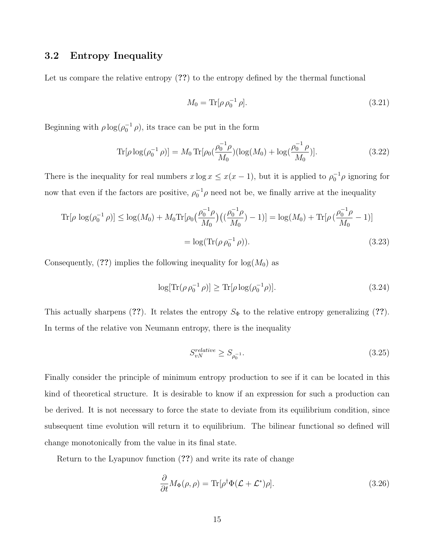#### 3.2 Entropy Inequality

Let us compare the relative entropy  $(??)$  to the entropy defined by the thermal functional

$$
M_0 = \text{Tr}[\rho \,\rho_0^{-1} \,\rho].\tag{3.21}
$$

Beginning with  $\rho \log(\rho_0^{-1} \rho)$ , its trace can be put in the form

$$
\text{Tr}[\rho \log(\rho_0^{-1} \rho)] = M_0 \text{Tr}[\rho_0(\frac{\rho_0^{-1} \rho}{M_0}) (\log(M_0) + \log(\frac{\rho_0^{-1} \rho}{M_0})]. \tag{3.22}
$$

There is the inequality for real numbers  $x \log x \leq x(x-1)$ , but it is applied to  $\rho_0^{-1} \rho$  ignoring for now that even if the factors are positive,  $\rho_0^{-1}\rho$  need not be, we finally arrive at the inequality

$$
\text{Tr}[\rho \log(\rho_0^{-1} \rho)] \le \log(M_0) + M_0 \text{Tr}[\rho_0 \left(\frac{\rho_0^{-1} \rho}{M_0}\right) \left(\left(\frac{\rho_0^{-1} \rho}{M_0}\right) - 1\right)] = \log(M_0) + \text{Tr}[\rho \left(\frac{\rho_0^{-1} \rho}{M_0} - 1\right)]
$$

$$
= \log(\text{Tr}(\rho \rho_0^{-1} \rho)). \tag{3.23}
$$

Consequently,  $(??)$  implies the following inequality for  $log(M_0)$  as

$$
\log[\text{Tr}(\rho \rho_0^{-1} \rho)] \ge \text{Tr}[\rho \log(\rho_0^{-1} \rho)]. \tag{3.24}
$$

This actually sharpens (??). It relates the entropy  $S_{\Phi}$  to the relative entropy generalizing (??). In terms of the relative von Neumann entropy, there is the inequality

$$
S_{vN}^{relative} \ge S_{\rho_0^{-1}}.\tag{3.25}
$$

Finally consider the principle of minimum entropy production to see if it can be located in this kind of theoretical structure. It is desirable to know if an expression for such a production can be derived. It is not necessary to force the state to deviate from its equilibrium condition, since subsequent time evolution will return it to equilibrium. The bilinear functional so defined will change monotonically from the value in its final state.

Return to the Lyapunov function (??) and write its rate of change

$$
\frac{\partial}{\partial t}M_{\Phi}(\rho,\rho) = \text{Tr}[\rho^{\dagger}\Phi(\mathcal{L}+\mathcal{L}^*)\rho].\tag{3.26}
$$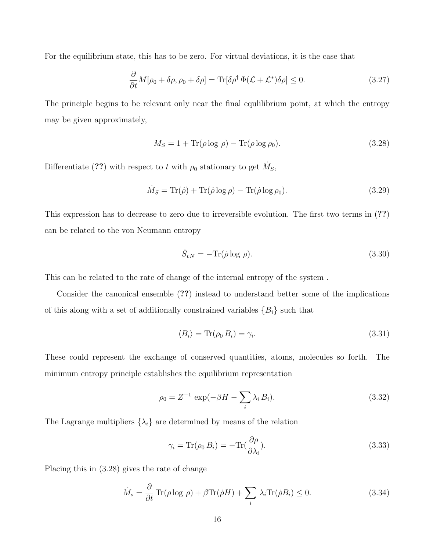For the equilibrium state, this has to be zero. For virtual deviations, it is the case that

$$
\frac{\partial}{\partial t}M[\rho_0 + \delta \rho, \rho_0 + \delta \rho] = \text{Tr}[\delta \rho^{\dagger} \Phi(\mathcal{L} + \mathcal{L}^*) \delta \rho] \le 0. \tag{3.27}
$$

The principle begins to be relevant only near the final equlilibrium point, at which the entropy may be given approximately,

$$
M_S = 1 + \text{Tr}(\rho \log \rho) - \text{Tr}(\rho \log \rho_0). \tag{3.28}
$$

Differentiate (??) with respect to t with  $\rho_0$  stationary to get  $\dot{M}_S$ ,

$$
\dot{M}_S = \text{Tr}(\dot{\rho}) + \text{Tr}(\dot{\rho}\log\rho) - \text{Tr}(\dot{\rho}\log\rho_0). \tag{3.29}
$$

This expression has to decrease to zero due to irreversible evolution. The first two terms in (??) can be related to the von Neumann entropy

$$
\dot{S}_{vN} = -\text{Tr}(\dot{\rho}\log\rho). \tag{3.30}
$$

This can be related to the rate of change of the internal entropy of the system .

Consider the canonical ensemble (??) instead to understand better some of the implications of this along with a set of additionally constrained variables  ${B<sub>i</sub>}$  such that

$$
\langle B_i \rangle = \text{Tr}(\rho_0 \, B_i) = \gamma_i. \tag{3.31}
$$

These could represent the exchange of conserved quantities, atoms, molecules so forth. The minimum entropy principle establishes the equilibrium representation

$$
\rho_0 = Z^{-1} \exp(-\beta H - \sum_i \lambda_i B_i).
$$
 (3.32)

The Lagrange multipliers  $\{\lambda_i\}$  are determined by means of the relation

$$
\gamma_i = \text{Tr}(\rho_0 B_i) = -\text{Tr}(\frac{\partial \rho}{\partial \lambda_i}).\tag{3.33}
$$

Placing this in (3.28) gives the rate of change

$$
\dot{M}_s = \frac{\partial}{\partial t} \operatorname{Tr}(\rho \log \rho) + \beta \operatorname{Tr}(\dot{\rho} H) + \sum_i \lambda_i \operatorname{Tr}(\dot{\rho} B_i) \le 0. \tag{3.34}
$$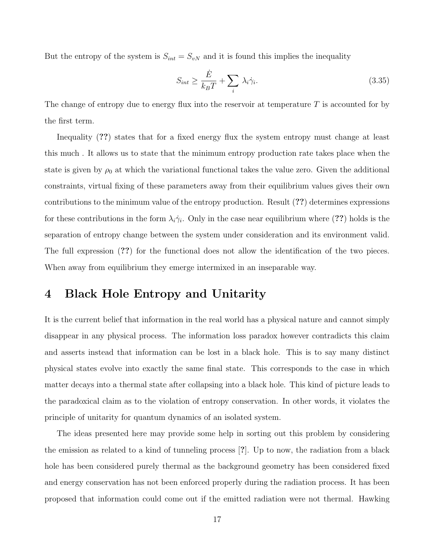But the entropy of the system is  $S_{int} = S_{vN}$  and it is found this implies the inequality

$$
S_{int} \ge \frac{\dot{E}}{k_B T} + \sum_i \lambda_i \dot{\gamma}_i. \tag{3.35}
$$

The change of entropy due to energy flux into the reservoir at temperature T is accounted for by the first term.

Inequality (??) states that for a fixed energy flux the system entropy must change at least this much . It allows us to state that the minimum entropy production rate takes place when the state is given by  $\rho_0$  at which the variational functional takes the value zero. Given the additional constraints, virtual fixing of these parameters away from their equilibrium values gives their own contributions to the minimum value of the entropy production. Result (??) determines expressions for these contributions in the form  $\lambda_i \dot{\gamma}_i$ . Only in the case near equilibrium where (??) holds is the separation of entropy change between the system under consideration and its environment valid. The full expression (??) for the functional does not allow the identification of the two pieces. When away from equilibrium they emerge intermixed in an inseparable way.

### 4 Black Hole Entropy and Unitarity

It is the current belief that information in the real world has a physical nature and cannot simply disappear in any physical process. The information loss paradox however contradicts this claim and asserts instead that information can be lost in a black hole. This is to say many distinct physical states evolve into exactly the same final state. This corresponds to the case in which matter decays into a thermal state after collapsing into a black hole. This kind of picture leads to the paradoxical claim as to the violation of entropy conservation. In other words, it violates the principle of unitarity for quantum dynamics of an isolated system.

The ideas presented here may provide some help in sorting out this problem by considering the emission as related to a kind of tunneling process [?]. Up to now, the radiation from a black hole has been considered purely thermal as the background geometry has been considered fixed and energy conservation has not been enforced properly during the radiation process. It has been proposed that information could come out if the emitted radiation were not thermal. Hawking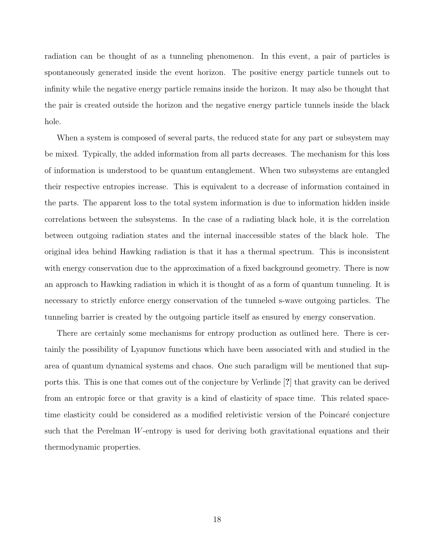radiation can be thought of as a tunneling phenomenon. In this event, a pair of particles is spontaneously generated inside the event horizon. The positive energy particle tunnels out to infinity while the negative energy particle remains inside the horizon. It may also be thought that the pair is created outside the horizon and the negative energy particle tunnels inside the black hole.

When a system is composed of several parts, the reduced state for any part or subsystem may be mixed. Typically, the added information from all parts decreases. The mechanism for this loss of information is understood to be quantum entanglement. When two subsystems are entangled their respective entropies increase. This is equivalent to a decrease of information contained in the parts. The apparent loss to the total system information is due to information hidden inside correlations between the subsystems. In the case of a radiating black hole, it is the correlation between outgoing radiation states and the internal inaccessible states of the black hole. The original idea behind Hawking radiation is that it has a thermal spectrum. This is inconsistent with energy conservation due to the approximation of a fixed background geometry. There is now an approach to Hawking radiation in which it is thought of as a form of quantum tunneling. It is necessary to strictly enforce energy conservation of the tunneled s-wave outgoing particles. The tunneling barrier is created by the outgoing particle itself as ensured by energy conservation.

There are certainly some mechanisms for entropy production as outlined here. There is certainly the possibility of Lyapunov functions which have been associated with and studied in the area of quantum dynamical systems and chaos. One such paradigm will be mentioned that supports this. This is one that comes out of the conjecture by Verlinde [?] that gravity can be derived from an entropic force or that gravity is a kind of elasticity of space time. This related spacetime elasticity could be considered as a modified reletivistic version of the Poincaré conjecture such that the Perelman W-entropy is used for deriving both gravitational equations and their thermodynamic properties.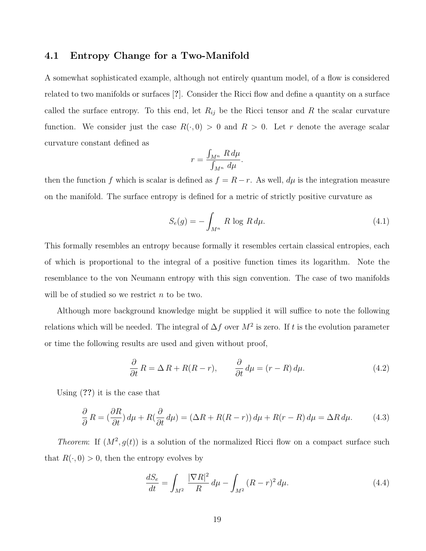#### 4.1 Entropy Change for a Two-Manifold

A somewhat sophisticated example, although not entirely quantum model, of a flow is considered related to two manifolds or surfaces [?]. Consider the Ricci flow and define a quantity on a surface called the surface entropy. To this end, let  $R_{ij}$  be the Ricci tensor and R the scalar curvature function. We consider just the case  $R(\cdot, 0) > 0$  and  $R > 0$ . Let r denote the average scalar curvature constant defined as

$$
r = \frac{\int_{M^n} R \, d\mu}{\int_{M^n} d\mu}.
$$

then the function f which is scalar is defined as  $f = R - r$ . As well,  $d\mu$  is the integration measure on the manifold. The surface entropy is defined for a metric of strictly positive curvature as

$$
S_e(g) = -\int_{M^n} R \log R d\mu.
$$
\n(4.1)

This formally resembles an entropy because formally it resembles certain classical entropies, each of which is proportional to the integral of a positive function times its logarithm. Note the resemblance to the von Neumann entropy with this sign convention. The case of two manifolds will be of studied so we restrict  $n$  to be two.

Although more background knowledge might be supplied it will suffice to note the following relations which will be needed. The integral of  $\Delta f$  over  $M^2$  is zero. If t is the evolution parameter or time the following results are used and given without proof,

$$
\frac{\partial}{\partial t} R = \Delta R + R(R - r), \qquad \frac{\partial}{\partial t} d\mu = (r - R) d\mu.
$$
 (4.2)

Using (??) it is the case that

$$
\frac{\partial}{\partial}R = \left(\frac{\partial R}{\partial t}\right)d\mu + R\left(\frac{\partial}{\partial t}d\mu\right) = \left(\Delta R + R(R-r)\right)d\mu + R(r-R)d\mu = \Delta R d\mu. \tag{4.3}
$$

*Theorem:* If  $(M^2, g(t))$  is a solution of the normalized Ricci flow on a compact surface such that  $R(\cdot, 0) > 0$ , then the entropy evolves by

$$
\frac{dS_e}{dt} = \int_{M^2} \frac{|\nabla R|^2}{R} d\mu - \int_{M^2} (R - r)^2 d\mu.
$$
 (4.4)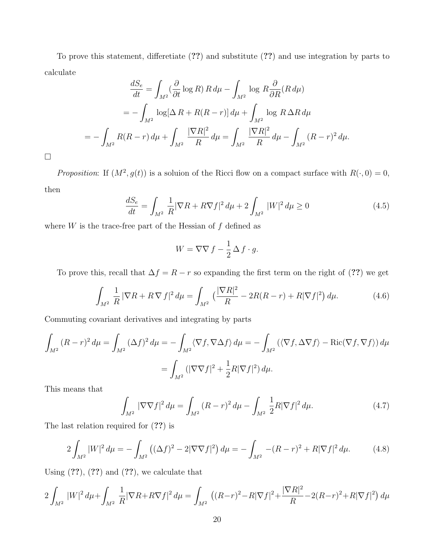To prove this statement, differetiate (??) and substitute (??) and use integration by parts to calculate

$$
\frac{dS_e}{dt} = \int_{M^2} (\frac{\partial}{\partial t} \log R) R d\mu - \int_{M^2} \log R \frac{\partial}{\partial R} (R d\mu)
$$
  
= 
$$
- \int_{M^2} \log[\Delta R + R(R - r)] d\mu + \int_{M^2} \log R \Delta R d\mu
$$
  
= 
$$
- \int_{M^2} R(R - r) d\mu + \int_{M^2} \frac{|\nabla R|^2}{R} d\mu = \int_{M^2} \frac{|\nabla R|^2}{R} d\mu - \int_{M^2} (R - r)^2 d\mu.
$$

 $\Box$ 

Proposition: If  $(M^2, g(t))$  is a soluion of the Ricci flow on a compact surface with  $R(\cdot, 0) = 0$ , then

$$
\frac{dS_e}{dt} = \int_{M^2} \frac{1}{R} |\nabla R + R\nabla f|^2 d\mu + 2 \int_{M^2} |W|^2 d\mu \ge 0
$$
\n(4.5)

where  $W$  is the trace-free part of the Hessian of  $f$  defined as

$$
W = \nabla \nabla f - \frac{1}{2} \Delta f \cdot g.
$$

To prove this, recall that  $\Delta f = R - r$  so expanding the first term on the right of (??) we get

$$
\int_{M^2} \frac{1}{R} |\nabla R + R \nabla f|^2 d\mu = \int_{M^2} \left( \frac{|\nabla R|^2}{R} - 2R(R - r) + R|\nabla f|^2 \right) d\mu.
$$
 (4.6)

Commuting covariant derivatives and integrating by parts

$$
\int_{M^2} (R - r)^2 d\mu = \int_{M^2} (\Delta f)^2 d\mu = -\int_{M^2} \langle \nabla f, \nabla \Delta f \rangle d\mu = -\int_{M^2} (\langle \nabla f, \Delta \nabla f \rangle - \text{Ric}(\nabla f, \nabla f) \rangle d\mu
$$

$$
= \int_{M^2} (|\nabla \nabla f|^2 + \frac{1}{2} R |\nabla f|^2) d\mu.
$$

This means that

$$
\int_{M^2} |\nabla \nabla f|^2 d\mu = \int_{M^2} (R - r)^2 d\mu - \int_{M^2} \frac{1}{2} R |\nabla f|^2 d\mu.
$$
\n(4.7)

The last relation required for (??) is

$$
2\int_{M^2} |W|^2 \, d\mu = -\int_{M^2} \left( (\Delta f)^2 - 2|\nabla \nabla f|^2 \right) d\mu = -\int_{M^2} -(R-r)^2 + R|\nabla f|^2 \, d\mu. \tag{4.8}
$$

Using  $(??)$ ,  $(??)$  and  $(??)$ , we calculate that

$$
2\int_{M^2} |W|^2 d\mu + \int_{M^2} \frac{1}{R} |\nabla R + R\nabla f|^2 d\mu = \int_{M^2} \left( (R - r)^2 - R|\nabla f|^2 + \frac{|\nabla R|^2}{R} - 2(R - r)^2 + R|\nabla f|^2 \right) d\mu
$$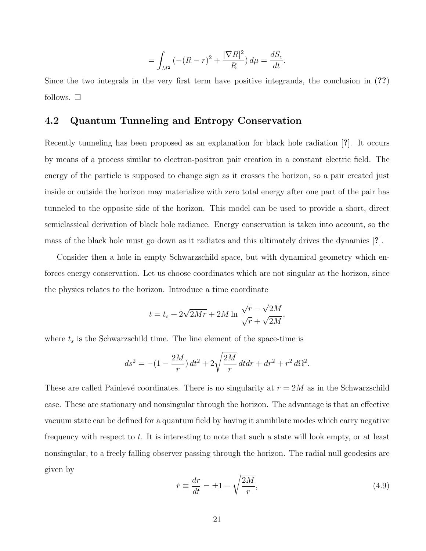$$
= \int_{M^2} \left( -(R-r)^2 + \frac{|\nabla R|^2}{R} \right) d\mu = \frac{dS_e}{dt}.
$$

Since the two integrals in the very first term have positive integrands, the conclusion in (??) follows.  $\square$ 

#### 4.2 Quantum Tunneling and Entropy Conservation

Recently tunneling has been proposed as an explanation for black hole radiation [?]. It occurs by means of a process similar to electron-positron pair creation in a constant electric field. The energy of the particle is supposed to change sign as it crosses the horizon, so a pair created just inside or outside the horizon may materialize with zero total energy after one part of the pair has tunneled to the opposite side of the horizon. This model can be used to provide a short, direct semiclassical derivation of black hole radiance. Energy conservation is taken into account, so the mass of the black hole must go down as it radiates and this ultimately drives the dynamics [?].

Consider then a hole in empty Schwarzschild space, but with dynamical geometry which enforces energy conservation. Let us choose coordinates which are not singular at the horizon, since the physics relates to the horizon. Introduce a time coordinate

$$
t = t_s + 2\sqrt{2Mr} + 2M \ln \frac{\sqrt{r} - \sqrt{2M}}{\sqrt{r} + \sqrt{2M}},
$$

where  $t_s$  is the Schwarzschild time. The line element of the space-time is

$$
ds^{2} = -(1 - \frac{2M}{r}) dt^{2} + 2\sqrt{\frac{2M}{r}} dt dr + dr^{2} + r^{2} d\Omega^{2}.
$$

These are called Painlevé coordinates. There is no singularity at  $r = 2M$  as in the Schwarzschild case. These are stationary and nonsingular through the horizon. The advantage is that an effective vacuum state can be defined for a quantum field by having it annihilate modes which carry negative frequency with respect to t. It is interesting to note that such a state will look empty, or at least nonsingular, to a freely falling observer passing through the horizon. The radial null geodesics are given by

$$
\dot{r} \equiv \frac{dr}{dt} = \pm 1 - \sqrt{\frac{2M}{r}},\tag{4.9}
$$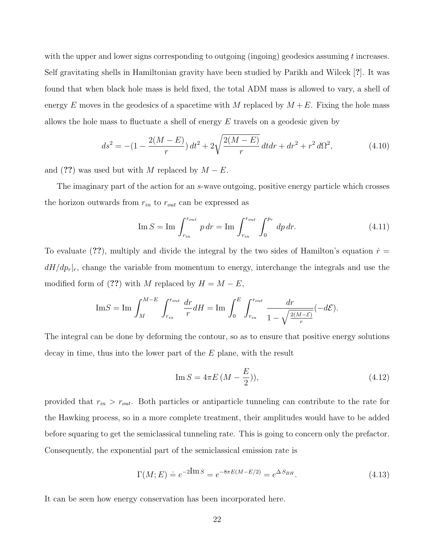with the upper and lower signs corresponding to outgoing (ingoing) geodesics assuming t increases. Self gravitating shells in Hamiltonian gravity have been studied by Parikh and Wilcek [?]. It was found that when black hole mass is held fixed, the total ADM mass is allowed to vary, a shell of energy E moves in the geodesics of a spacetime with M replaced by  $M + E$ . Fixing the hole mass allows the hole mass to fluctuate a shell of energy  $E$  travels on a geodesic given by

$$
ds^{2} = -(1 - \frac{2(M - E)}{r}) dt^{2} + 2\sqrt{\frac{2(M - E)}{r}} dt dr + dr^{2} + r^{2} d\Omega^{2},
$$
\n(4.10)

and (??) was used but with M replaced by  $M - E$ .

The imaginary part of the action for an s-wave outgoing, positive energy particle which crosses the horizon outwards from  $r_{in}$  to  $r_{out}$  can be expressed as

$$
\text{Im}\,S = \text{Im}\,\int_{r_{in}}^{r_{out}} p\,dr = \text{Im}\,\int_{r_{in}}^{r_{out}} \int_{0}^{p_r} dp\,dr. \tag{4.11}
$$

To evaluate (??), multiply and divide the integral by the two sides of Hamilton's equation  $\dot{r} =$  $dH/dp_r|r$ , change the variable from momentum to energy, interchange the integrals and use the modified form of (??) with M replaced by  $H = M - E$ ,

$$
\text{Im} S = \text{Im} \int_M^{M-E} \int_{r_{in}}^{r_{out}} \frac{dr}{r} dH = \text{Im} \int_0^E \int_{r_{in}}^{r_{out}} \frac{dr}{1 - \sqrt{\frac{2(M-E)}{r}}} (-d\mathcal{E}).
$$

The integral can be done by deforming the contour, so as to ensure that positive energy solutions decay in time, thus into the lower part of the E plane, with the result

Im 
$$
S = 4\pi E (M - \frac{E}{2}))
$$
, (4.12)

provided that  $r_{in} > r_{out}$ . Both particles or antiparticle tunneling can contribute to the rate for the Hawking process, so in a more complete treatment, their amplitudes would have to be added before squaring to get the semiclassical tunneling rate. This is going to concern only the prefactor. Consequently, the exponential part of the semiclassical emission rate is

$$
\Gamma(M;E) \doteq e^{-2\text{Im }S} = e^{-8\pi E(M - E/2)} = e^{\Delta S_{BH}}.
$$
\n(4.13)

It can be seen how energy conservation has been incorporated here.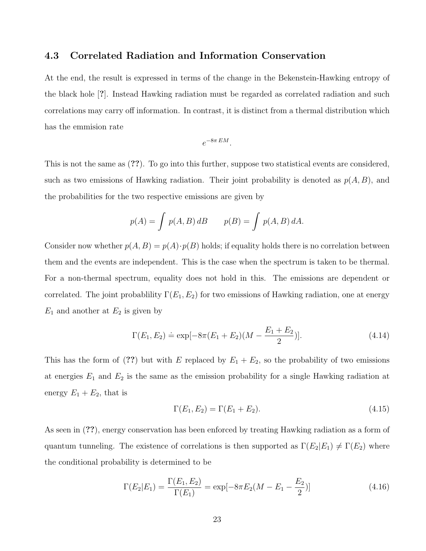#### 4.3 Correlated Radiation and Information Conservation

At the end, the result is expressed in terms of the change in the Bekenstein-Hawking entropy of the black hole [?]. Instead Hawking radiation must be regarded as correlated radiation and such correlations may carry off information. In contrast, it is distinct from a thermal distribution which has the emmision rate

$$
e^{-8\pi\,EM}.
$$

This is not the same as (??). To go into this further, suppose two statistical events are considered, such as two emissions of Hawking radiation. Their joint probability is denoted as  $p(A, B)$ , and the probabilities for the two respective emissions are given by

$$
p(A) = \int p(A, B) \, dB \qquad p(B) = \int p(A, B) \, dA.
$$

Consider now whether  $p(A, B) = p(A) \cdot p(B)$  holds; if equality holds there is no correlation between them and the events are independent. This is the case when the spectrum is taken to be thermal. For a non-thermal spectrum, equality does not hold in this. The emissions are dependent or correlated. The joint probability  $\Gamma(E_1, E_2)$  for two emissions of Hawking radiation, one at energy  $E_1$  and another at  $E_2$  is given by

$$
\Gamma(E_1, E_2) \doteq \exp[-8\pi(E_1 + E_2)(M - \frac{E_1 + E_2}{2})]. \tag{4.14}
$$

This has the form of (??) but with E replaced by  $E_1 + E_2$ , so the probability of two emissions at energies  $E_1$  and  $E_2$  is the same as the emission probability for a single Hawking radiation at energy  $E_1 + E_2$ , that is

$$
\Gamma(E_1, E_2) = \Gamma(E_1 + E_2). \tag{4.15}
$$

As seen in (??), energy conservation has been enforced by treating Hawking radiation as a form of quantum tunneling. The existence of correlations is then supported as  $\Gamma(E_2|E_1) \neq \Gamma(E_2)$  where the conditional probability is determined to be

$$
\Gamma(E_2|E_1) = \frac{\Gamma(E_1, E_2)}{\Gamma(E_1)} = \exp[-8\pi E_2(M - E_1 - \frac{E_2}{2})]
$$
\n(4.16)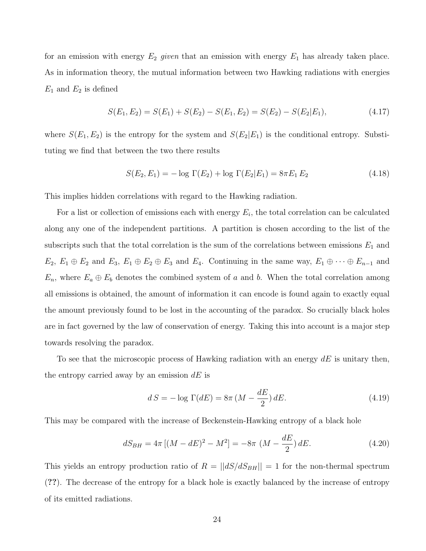for an emission with energy  $E_2$  given that an emission with energy  $E_1$  has already taken place. As in information theory, the mutual information between two Hawking radiations with energies  $E_1$  and  $E_2$  is defined

$$
S(E_1, E_2) = S(E_1) + S(E_2) - S(E_1, E_2) = S(E_2) - S(E_2|E_1),
$$
\n(4.17)

where  $S(E_1, E_2)$  is the entropy for the system and  $S(E_2|E_1)$  is the conditional entropy. Substituting we find that between the two there results

$$
S(E_2, E_1) = -\log \Gamma(E_2) + \log \Gamma(E_2|E_1) = 8\pi E_1 E_2 \tag{4.18}
$$

This implies hidden correlations with regard to the Hawking radiation.

For a list or collection of emissions each with energy  $E_i$ , the total correlation can be calculated along any one of the independent partitions. A partition is chosen according to the list of the subscripts such that the total correlation is the sum of the correlations between emissions  $E_1$  and  $E_2, E_1 \oplus E_2$  and  $E_3, E_1 \oplus E_2 \oplus E_3$  and  $E_4$ . Continuing in the same way,  $E_1 \oplus \cdots \oplus E_{n-1}$  and  $E_n$ , where  $E_a \oplus E_b$  denotes the combined system of a and b. When the total correlation among all emissions is obtained, the amount of information it can encode is found again to exactly equal the amount previously found to be lost in the accounting of the paradox. So crucially black holes are in fact governed by the law of conservation of energy. Taking this into account is a major step towards resolving the paradox.

To see that the microscopic process of Hawking radiation with an energy  $dE$  is unitary then, the entropy carried away by an emission  $dE$  is

$$
dS = -\log \Gamma(dE) = 8\pi \left(M - \frac{dE}{2}\right) dE.
$$
\n(4.19)

This may be compared with the increase of Beckenstein-Hawking entropy of a black hole

$$
dS_{BH} = 4\pi \left[ (M - dE)^2 - M^2 \right] = -8\pi \left( M - \frac{dE}{2} \right) dE.
$$
 (4.20)

This yields an entropy production ratio of  $R = ||dS/dS_{BH}|| = 1$  for the non-thermal spectrum (??). The decrease of the entropy for a black hole is exactly balanced by the increase of entropy of its emitted radiations.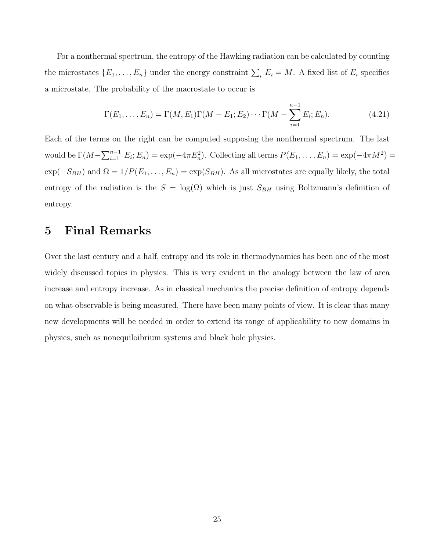For a nonthermal spectrum, the entropy of the Hawking radiation can be calculated by counting the microstates  $\{E_1, \ldots, E_n\}$  under the energy constraint  $\sum_i E_i = M$ . A fixed list of  $E_i$  specifies a microstate. The probability of the macrostate to occur is

$$
\Gamma(E_1, ..., E_n) = \Gamma(M, E_1)\Gamma(M - E_1; E_2) \cdots \Gamma(M - \sum_{i=1}^{n-1} E_i; E_n).
$$
 (4.21)

Each of the terms on the right can be computed supposing the nonthermal spectrum. The last would be  $\Gamma(M-\sum_{i=1}^{n-1} E_i; E_n) = \exp(-4\pi E_n^2)$ . Collecting all terms  $P(E_1,\ldots,E_n) = \exp(-4\pi M^2)$  $\exp(-S_{BH})$  and  $\Omega = 1/P(E_1, \ldots, E_n) = \exp(S_{BH})$ . As all microstates are equally likely, the total entropy of the radiation is the  $S = \log(\Omega)$  which is just  $S_{BH}$  using Boltzmann's definition of entropy.

### 5 Final Remarks

Over the last century and a half, entropy and its role in thermodynamics has been one of the most widely discussed topics in physics. This is very evident in the analogy between the law of area increase and entropy increase. As in classical mechanics the precise definition of entropy depends on what observable is being measured. There have been many points of view. It is clear that many new developments will be needed in order to extend its range of applicability to new domains in physics, such as nonequiloibrium systems and black hole physics.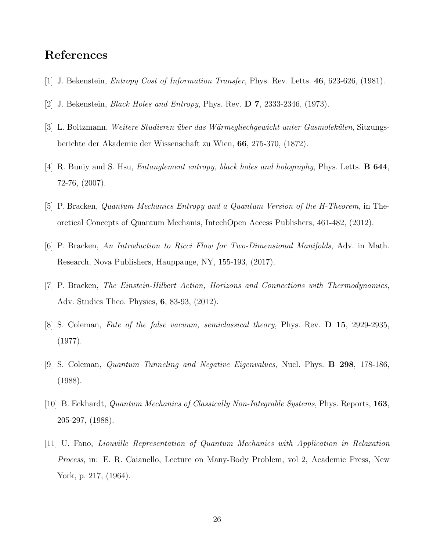### References

- [1] J. Bekenstein, Entropy Cost of Information Transfer, Phys. Rev. Letts. 46, 623-626, (1981).
- [2] J. Bekenstein, Black Holes and Entropy, Phys. Rev. D 7, 2333-2346, (1973).
- [3] L. Boltzmann, Weitere Studieren über das Wärmegliechgewicht unter Gasmolekülen, Sitzungsberichte der Akademie der Wissenschaft zu Wien, 66, 275-370, (1872).
- [4] R. Buniy and S. Hsu, *Entanglement entropy, black holes and holography*, Phys. Letts. **B 644**, 72-76, (2007).
- [5] P. Bracken, Quantum Mechanics Entropy and a Quantum Version of the H-Theorem, in Theoretical Concepts of Quantum Mechanis, IntechOpen Access Publishers, 461-482, (2012).
- [6] P. Bracken, An Introduction to Ricci Flow for Two-Dimensional Manifolds, Adv. in Math. Research, Nova Publishers, Hauppauge, NY, 155-193, (2017).
- [7] P. Bracken, The Einstein-Hilbert Action, Horizons and Connections with Thermodynamics, Adv. Studies Theo. Physics, 6, 83-93, (2012).
- [8] S. Coleman, Fate of the false vacuum, semiclassical theory, Phys. Rev. D 15, 2929-2935, (1977).
- [9] S. Coleman, Quantum Tunneling and Negative Eigenvalues, Nucl. Phys. B 298, 178-186, (1988).
- [10] B. Eckhardt, Quantum Mechanics of Classically Non-Integrable Systems, Phys. Reports, 163, 205-297, (1988).
- [11] U. Fano, Liouville Representation of Quantum Mechanics with Application in Relaxation Process, in: E. R. Caianello, Lecture on Many-Body Problem, vol 2, Academic Press, New York, p. 217, (1964).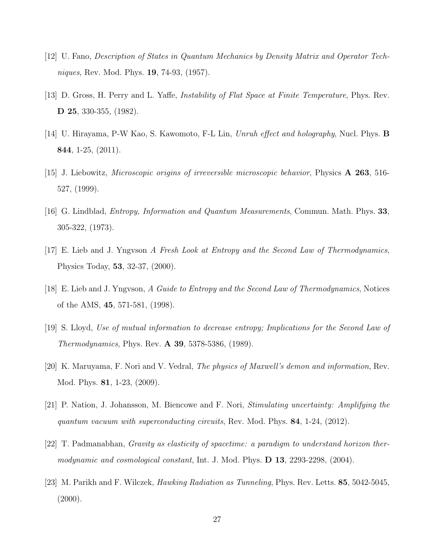- [12] U. Fano, Description of States in Quantum Mechanics by Density Matrix and Operator Techniques, Rev. Mod. Phys. 19, 74-93, (1957).
- [13] D. Gross, H. Perry and L. Yaffe, Instability of Flat Space at Finite Temperature, Phys. Rev. D 25, 330-355, (1982).
- [14] U. Hirayama, P-W Kao, S. Kawomoto, F-L Lin, Unruh effect and holography, Nucl. Phys. B 844, 1-25, (2011).
- [15] J. Liebowitz, Microscopic origins of irreversible microscopic behavior, Physics A 263, 516- 527, (1999).
- [16] G. Lindblad, Entropy, Information and Quantum Measurements, Commun. Math. Phys. 33, 305-322, (1973).
- [17] E. Lieb and J. Yngvson A Fresh Look at Entropy and the Second Law of Thermodynamics, Physics Today, 53, 32-37, (2000).
- [18] E. Lieb and J. Yngvson, A Guide to Entropy and the Second Law of Thermodynamics, Notices of the AMS, 45, 571-581, (1998).
- [19] S. Lloyd, Use of mutual information to decrease entropy; Implications for the Second Law of Thermodynamics, Phys. Rev. A 39, 5378-5386, (1989).
- [20] K. Maruyama, F. Nori and V. Vedral, The physics of Maxwell's demon and information, Rev. Mod. Phys. 81, 1-23, (2009).
- [21] P. Nation, J. Johansson, M. Biencowe and F. Nori, Stimulating uncertainty: Amplifying the quantum vacuum with superconducting circuits, Rev. Mod. Phys.  $84$ , 1-24, (2012).
- [22] T. Padmanabhan, Gravity as elasticity of spacetime: a paradigm to understand horizon thermodynamic and cosmological constant, Int. J. Mod. Phys. **D 13**, 2293-2298, (2004).
- [23] M. Parikh and F. Wilczek, Hawking Radiation as Tunneling, Phys. Rev. Letts. 85, 5042-5045,  $(2000).$